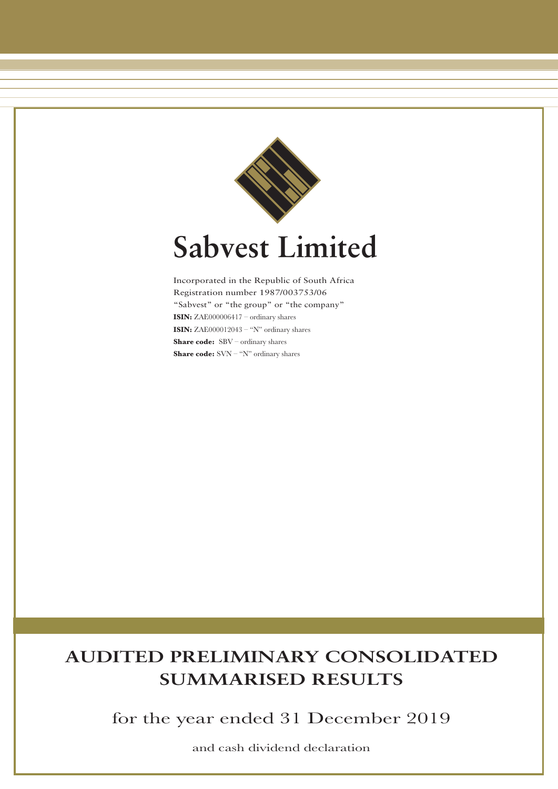

# **Sabvest Limited**

Incorporated in the Republic of South Africa Registration number 1987/003753/06 "Sabvest" or "the group" or "the company" **ISIN:** ZAE000006417 – ordinary shares **ISIN:** ZAE000012043 – "N" ordinary shares **Share code:** SBV – ordinary shares **Share code:** SVN – "N" ordinary shares

## **AUDITED PRELIMINARY CONSOLIDATED SUMMARISED RESULTS**

for the year ended 31 December 2019

and cash dividend declaration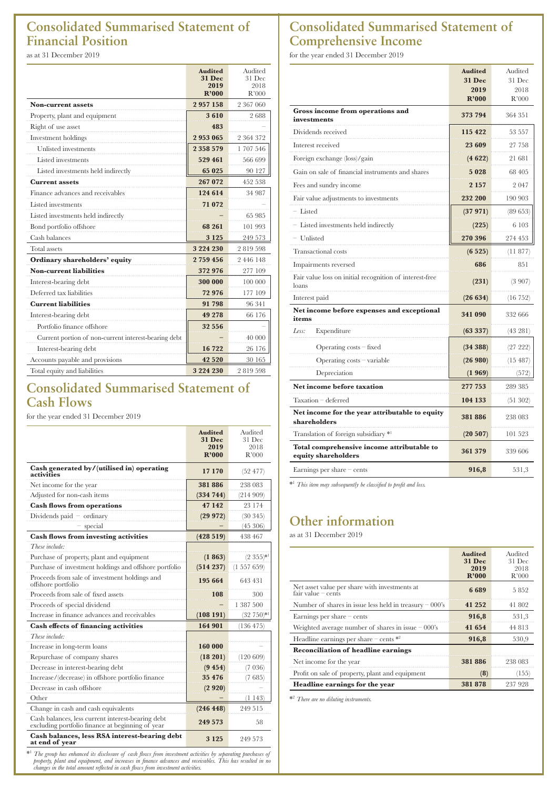## **Consolidated Summarised Statement of Financial Position**

as at 31 December 2019

|                                                      | <b>Audited</b>        | Audited        |
|------------------------------------------------------|-----------------------|----------------|
|                                                      | <b>31 Dec</b><br>2019 | 31 Dec<br>2018 |
|                                                      | R'000                 | R'000          |
| <b>Non-current assets</b>                            | 2957158               | 2 367 060      |
| Property, plant and equipment                        | 3610                  | 2688           |
| Right of use asset                                   | 483                   |                |
| Investment holdings                                  | 2953065               | 2 364 372      |
| Unlisted investments                                 | 2 3 5 8 5 7 9         | 1707546        |
| Listed investments                                   | 529 461               | 566 699        |
| Listed investments held indirectly                   | 65 025                | 90 127         |
| <b>Current assets</b>                                | 267 072               | 452 538        |
| Finance advances and receivables                     | 124 614               | 34 987         |
| Listed investments                                   | 71 072                |                |
| Listed investments held indirectly                   |                       | 65 985         |
| Bond portfolio offshore                              | 68 261                | 101 993        |
| Cash balances                                        | 3 1 2 5               | 249 573        |
| <b>Total</b> assets                                  | 3 2 2 4 2 3 0         | 2819598        |
| Ordinary shareholders' equity                        | 2759456               | 2 4 4 6 1 4 8  |
| <b>Non-current liabilities</b>                       | 372 976               | 277 109        |
| Interest-bearing debt                                | 300 000               | 100 000        |
| Deferred tax liabilities                             | 72976                 | 177 109        |
| <b>Current liabilities</b>                           | 91 798                | 96 341         |
| Interest-bearing debt                                | 49 278                | 66 176         |
| Portfolio finance offshore                           | 32 556                |                |
| Current portion of non-current interest-bearing debt |                       | 40 000         |
| Interest-bearing debt                                | 16722                 | 26 176         |
| Accounts payable and provisions                      | 42 5 20               | 30 165         |
| Total equity and liabilities                         | 3 2 2 4 2 3 0         | 2819598        |

## **Consolidated Summarised Statement of Cash Flows**

for the year ended 31 December 2019

|                                                                                                       | <b>Audited</b>        | Audited                |
|-------------------------------------------------------------------------------------------------------|-----------------------|------------------------|
|                                                                                                       | <b>31 Dec</b><br>2019 | 31 Dec<br>2018         |
|                                                                                                       | R'000                 | R'000                  |
| Cash generated by/(utilised in) operating<br>activities                                               | 17 170                | (52 477)               |
| Net income for the year                                                                               | 381886                | 238 083                |
| Adjusted for non-cash items                                                                           | (334 744)             | (214909)               |
| <b>Cash flows from operations</b>                                                                     | 47 142                | 23 174                 |
| Dividends paid $-$ ordinary                                                                           | (29972)               | (30345)                |
| special                                                                                               |                       | (45306)                |
| <b>Cash flows from investing activities</b>                                                           | (428519)              | 438 467                |
| These include:                                                                                        |                       |                        |
| Purchase of property, plant and equipment                                                             | (1863)                | $(2\;355)^{*1}$        |
| Purchase of investment holdings and offshore portfolio                                                | (514237)              | $(1\ 557\ 659)$        |
| Proceeds from sale of investment holdings and<br>offshore portfolio                                   | 195 664               | 643 431                |
| Proceeds from sale of fixed assets                                                                    | 108                   | 300                    |
| Proceeds of special dividend                                                                          |                       | 1 387 500              |
| Increase in finance advances and receivables                                                          | (108191)              | (32 750)* <sup>1</sup> |
| <b>Cash effects of financing activities</b>                                                           | 164 901               | (136 475)              |
| These include:                                                                                        |                       |                        |
| Increase in long-term loans                                                                           | 160 000               |                        |
| Repurchase of company shares                                                                          | (18201)               | (120609)               |
| Decrease in interest-bearing debt                                                                     | (9454)                | (7 036)                |
| Increase/(decrease) in offshore portfolio finance                                                     | 35 476                | (7685)                 |
| Decrease in cash offshore                                                                             | (2920)                |                        |
| Other                                                                                                 |                       | (1143)                 |
| Change in cash and cash equivalents                                                                   | (246 448)             | 249 515                |
| Cash balances, less current interest-bearing debt<br>excluding portfolio finance at beginning of year | 249 573               | 58                     |
| Cash balances, less RSA interest-bearing debt<br>at end of year                                       | 3 1 2 5               | 249 573                |

\*1 The group has enhanced its disclosure of cash flows from investment activities by separating purchases of<br>property, plant and equipment, and increases in finance advances and receivables. This has resulted in no<br>changes

## **Consolidated Summarised Statement of Comprehensive Income**

for the year ended 31 December 2019

| 31 Dec<br><b>31 Dec</b><br>2019<br>2018<br>R'000<br>R'000<br>Gross income from operations and<br>373 794<br>364 351<br>investments<br>Dividends received<br>115 422<br>53 557<br>Interest received<br>23 609<br>27 758<br>Foreign exchange (loss)/gain<br>(4622)<br>21 681<br>Gain on sale of financial instruments and shares<br>5028<br>68 405<br>Fees and sundry income<br>2 1 5 7<br>2047<br>Fair value adjustments to investments<br>232 200<br>190 903<br>$-$ Listed<br>(37971)<br>(89653)<br>Listed investments held indirectly<br>(225)<br>6 103<br>- Unlisted<br>270 396<br>274 453<br><b>Transactional costs</b><br>(6525)<br>(11877)<br>Impairments reversed<br>686<br>851<br>Fair value loss on initial recognition of interest-free<br>(231)<br>loans<br>(26634)<br>Interest paid<br>(16752)<br>Net income before expenses and exceptional<br>341 090<br>332 666<br>items<br>Less:<br>Expenditure<br>(63337)<br>(43 281)<br>Operating costs - fixed<br>(34388)<br>(27 222)<br>Operating costs - variable<br>(26980)<br>(15.487)<br>Depreciation<br>(1969)<br>(572)<br>Net income before taxation<br>277 753<br>289 385<br>Taxation - deferred<br>104 133<br>(51302)<br>Net income for the year attributable to equity<br>381886<br>238 083<br>shareholders<br>Translation of foreign subsidiary *1<br>(20507)<br>101 523<br>Total comprehensive income attributable to<br>361 379<br>339 606<br>equity shareholders |                              | <b>Audited</b> | Audited |
|----------------------------------------------------------------------------------------------------------------------------------------------------------------------------------------------------------------------------------------------------------------------------------------------------------------------------------------------------------------------------------------------------------------------------------------------------------------------------------------------------------------------------------------------------------------------------------------------------------------------------------------------------------------------------------------------------------------------------------------------------------------------------------------------------------------------------------------------------------------------------------------------------------------------------------------------------------------------------------------------------------------------------------------------------------------------------------------------------------------------------------------------------------------------------------------------------------------------------------------------------------------------------------------------------------------------------------------------------------------------------------------------------------------------------------|------------------------------|----------------|---------|
|                                                                                                                                                                                                                                                                                                                                                                                                                                                                                                                                                                                                                                                                                                                                                                                                                                                                                                                                                                                                                                                                                                                                                                                                                                                                                                                                                                                                                                  |                              |                |         |
|                                                                                                                                                                                                                                                                                                                                                                                                                                                                                                                                                                                                                                                                                                                                                                                                                                                                                                                                                                                                                                                                                                                                                                                                                                                                                                                                                                                                                                  |                              |                |         |
|                                                                                                                                                                                                                                                                                                                                                                                                                                                                                                                                                                                                                                                                                                                                                                                                                                                                                                                                                                                                                                                                                                                                                                                                                                                                                                                                                                                                                                  |                              |                |         |
|                                                                                                                                                                                                                                                                                                                                                                                                                                                                                                                                                                                                                                                                                                                                                                                                                                                                                                                                                                                                                                                                                                                                                                                                                                                                                                                                                                                                                                  |                              |                |         |
|                                                                                                                                                                                                                                                                                                                                                                                                                                                                                                                                                                                                                                                                                                                                                                                                                                                                                                                                                                                                                                                                                                                                                                                                                                                                                                                                                                                                                                  |                              |                |         |
|                                                                                                                                                                                                                                                                                                                                                                                                                                                                                                                                                                                                                                                                                                                                                                                                                                                                                                                                                                                                                                                                                                                                                                                                                                                                                                                                                                                                                                  |                              |                |         |
|                                                                                                                                                                                                                                                                                                                                                                                                                                                                                                                                                                                                                                                                                                                                                                                                                                                                                                                                                                                                                                                                                                                                                                                                                                                                                                                                                                                                                                  |                              |                |         |
|                                                                                                                                                                                                                                                                                                                                                                                                                                                                                                                                                                                                                                                                                                                                                                                                                                                                                                                                                                                                                                                                                                                                                                                                                                                                                                                                                                                                                                  |                              |                |         |
|                                                                                                                                                                                                                                                                                                                                                                                                                                                                                                                                                                                                                                                                                                                                                                                                                                                                                                                                                                                                                                                                                                                                                                                                                                                                                                                                                                                                                                  |                              |                |         |
|                                                                                                                                                                                                                                                                                                                                                                                                                                                                                                                                                                                                                                                                                                                                                                                                                                                                                                                                                                                                                                                                                                                                                                                                                                                                                                                                                                                                                                  |                              |                |         |
|                                                                                                                                                                                                                                                                                                                                                                                                                                                                                                                                                                                                                                                                                                                                                                                                                                                                                                                                                                                                                                                                                                                                                                                                                                                                                                                                                                                                                                  |                              |                |         |
|                                                                                                                                                                                                                                                                                                                                                                                                                                                                                                                                                                                                                                                                                                                                                                                                                                                                                                                                                                                                                                                                                                                                                                                                                                                                                                                                                                                                                                  |                              |                |         |
|                                                                                                                                                                                                                                                                                                                                                                                                                                                                                                                                                                                                                                                                                                                                                                                                                                                                                                                                                                                                                                                                                                                                                                                                                                                                                                                                                                                                                                  |                              |                |         |
|                                                                                                                                                                                                                                                                                                                                                                                                                                                                                                                                                                                                                                                                                                                                                                                                                                                                                                                                                                                                                                                                                                                                                                                                                                                                                                                                                                                                                                  |                              |                |         |
|                                                                                                                                                                                                                                                                                                                                                                                                                                                                                                                                                                                                                                                                                                                                                                                                                                                                                                                                                                                                                                                                                                                                                                                                                                                                                                                                                                                                                                  |                              |                |         |
|                                                                                                                                                                                                                                                                                                                                                                                                                                                                                                                                                                                                                                                                                                                                                                                                                                                                                                                                                                                                                                                                                                                                                                                                                                                                                                                                                                                                                                  |                              |                | (3907)  |
|                                                                                                                                                                                                                                                                                                                                                                                                                                                                                                                                                                                                                                                                                                                                                                                                                                                                                                                                                                                                                                                                                                                                                                                                                                                                                                                                                                                                                                  |                              |                |         |
|                                                                                                                                                                                                                                                                                                                                                                                                                                                                                                                                                                                                                                                                                                                                                                                                                                                                                                                                                                                                                                                                                                                                                                                                                                                                                                                                                                                                                                  |                              |                |         |
|                                                                                                                                                                                                                                                                                                                                                                                                                                                                                                                                                                                                                                                                                                                                                                                                                                                                                                                                                                                                                                                                                                                                                                                                                                                                                                                                                                                                                                  |                              |                |         |
|                                                                                                                                                                                                                                                                                                                                                                                                                                                                                                                                                                                                                                                                                                                                                                                                                                                                                                                                                                                                                                                                                                                                                                                                                                                                                                                                                                                                                                  |                              |                |         |
|                                                                                                                                                                                                                                                                                                                                                                                                                                                                                                                                                                                                                                                                                                                                                                                                                                                                                                                                                                                                                                                                                                                                                                                                                                                                                                                                                                                                                                  |                              |                |         |
|                                                                                                                                                                                                                                                                                                                                                                                                                                                                                                                                                                                                                                                                                                                                                                                                                                                                                                                                                                                                                                                                                                                                                                                                                                                                                                                                                                                                                                  |                              |                |         |
|                                                                                                                                                                                                                                                                                                                                                                                                                                                                                                                                                                                                                                                                                                                                                                                                                                                                                                                                                                                                                                                                                                                                                                                                                                                                                                                                                                                                                                  |                              |                |         |
|                                                                                                                                                                                                                                                                                                                                                                                                                                                                                                                                                                                                                                                                                                                                                                                                                                                                                                                                                                                                                                                                                                                                                                                                                                                                                                                                                                                                                                  |                              |                |         |
|                                                                                                                                                                                                                                                                                                                                                                                                                                                                                                                                                                                                                                                                                                                                                                                                                                                                                                                                                                                                                                                                                                                                                                                                                                                                                                                                                                                                                                  |                              |                |         |
|                                                                                                                                                                                                                                                                                                                                                                                                                                                                                                                                                                                                                                                                                                                                                                                                                                                                                                                                                                                                                                                                                                                                                                                                                                                                                                                                                                                                                                  |                              |                |         |
|                                                                                                                                                                                                                                                                                                                                                                                                                                                                                                                                                                                                                                                                                                                                                                                                                                                                                                                                                                                                                                                                                                                                                                                                                                                                                                                                                                                                                                  |                              |                |         |
|                                                                                                                                                                                                                                                                                                                                                                                                                                                                                                                                                                                                                                                                                                                                                                                                                                                                                                                                                                                                                                                                                                                                                                                                                                                                                                                                                                                                                                  | Earnings per share $-$ cents | 916,8          | 531,3   |

\*1 *This item may subsequently be classified to profit and loss.*

## **Other information**

as at 31 December 2019

|                                                                       | <b>Audited</b><br>$31$ Dec<br>2019<br>R'000 | Audited<br>31 Dec<br>2018<br>R'000 |
|-----------------------------------------------------------------------|---------------------------------------------|------------------------------------|
| Net asset value per share with investments at<br>$fair value = cents$ | 6689                                        | 5852                               |
| Number of shares in issue less held in treasury $-000$ 's             | 41 252                                      | 41 802                             |
| Earnings per share $-\text{cents}$                                    | 916,8                                       | 531,3                              |
| Weighted average number of shares in issue $-000$ 's                  | 41 654                                      | 44 813                             |
| Headline earnings per share $-\text{ cents}$ *2                       | 916,8                                       | 530,9                              |
| <b>Reconciliation of headline earnings</b>                            |                                             |                                    |
| Net income for the year                                               | 381886                                      | 238 083                            |
| Profit on sale of property, plant and equipment                       | (8)                                         | (155)                              |
| Headline earnings for the year                                        | 381878                                      | 237 928                            |

\*2 *There are no diluting instruments.*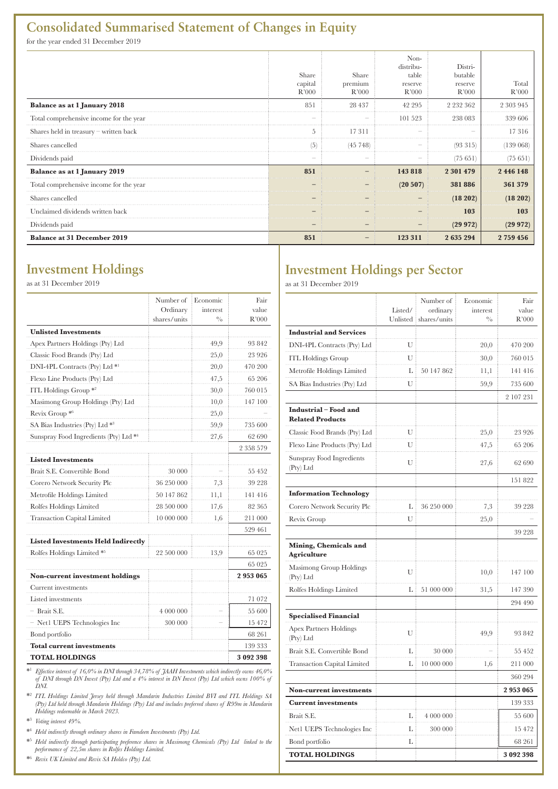## **Consolidated Summarised Statement of Changes in Equity**

for the year ended 31 December 2019

|                                         | Share<br>capital<br>R'000 | Share<br>premium<br>R'000 | Non-<br>distribu-<br>table<br>reserve<br>R'000 | Distri-<br>butable<br>reserve<br>R'000 | Total<br>R'000 |
|-----------------------------------------|---------------------------|---------------------------|------------------------------------------------|----------------------------------------|----------------|
| <b>Balance as at 1 January 2018</b>     | 851                       | 28 437                    | 42 295                                         | 2 2 3 2 3 6 2                          | 2 303 945      |
| Total comprehensive income for the year |                           |                           | 101 523                                        | 238 083                                | 339 606        |
| Shares held in treasury - written back  |                           | 17311                     |                                                |                                        | 17316          |
| Shares cancelled                        | (5)                       | (45, 748)                 |                                                | (93315)                                | 139 068        |
| Dividends paid                          |                           |                           |                                                | (75651                                 | (75651)        |
| Balance as at 1 January 2019            | 851                       |                           | 143 818                                        | 2 301 479                              | 2446148        |
| Total comprehensive income for the year |                           |                           | (20 507)                                       | 381886                                 | 361 379        |
| Shares cancelled                        |                           |                           |                                                | (18 202)                               | (18202)        |
| Unclaimed dividends written back        |                           |                           |                                                | 103                                    | 103            |
| Dividends paid                          |                           |                           |                                                | (29972)                                | (29972)        |
| <b>Balance at 31 December 2019</b>      | 851                       |                           | 123 311                                        | 2 635 294                              | 2759456        |

## **Investment Holdings**

as at 31 December 2019

|                                               | Number of<br>Ordinary | Economic<br>interest | Fair<br>value |
|-----------------------------------------------|-----------------------|----------------------|---------------|
|                                               | shares/units          | $^{0/6}$             | R'000         |
| <b>Unlisted Investments</b>                   |                       |                      |               |
| Apex Partners Holdings (Pty) Ltd              |                       | 49,9                 | 93 842        |
| Classic Food Brands (Pty) Ltd                 |                       | 25,0                 | 23 926        |
| DNI-4PL Contracts (Pty) Ltd *1                |                       | 20,0                 | 470 200       |
| Flexo Line Products (Pty) Ltd                 |                       | 47,5                 | 65 206        |
| ITL Holdings Group <sup>*2</sup>              |                       | 30.0                 | 760 015       |
| Masimong Group Holdings (Pty) Ltd             |                       | 10,0                 | 147 100       |
| Revix Group *6                                |                       | 25,0                 |               |
| SA Bias Industries (Pty) Ltd $*$ <sup>3</sup> |                       | 59,9                 | 735 600       |
| Sunspray Food Ingredients (Pty) Ltd *4        |                       | 27,6                 | 62 690        |
|                                               |                       |                      | 2 358 579     |
| <b>Listed Investments</b>                     |                       |                      |               |
| Brait S.E. Convertible Bond                   | 30 000                |                      | 55 452        |
| Corero Network Security Plc                   | 36 250 000            | 7,3                  | 39 228        |
| Metrofile Holdings Limited                    | 50 147 862            | 11,1                 | 141 416       |
| Rolfes Holdings Limited                       | 28 500 000            | 17,6                 | 82 365        |
| <b>Transaction Capital Limited</b>            | 10 000 000            | 1,6                  | 211 000       |
|                                               |                       |                      | 529 461       |
| <b>Listed Investments Held Indirectly</b>     |                       |                      |               |
| Rolfes Holdings Limited *5                    | 22 500 000            | 13,9                 | 65 025        |
|                                               |                       |                      | 65 025        |
| Non-current investment holdings               |                       |                      | 2953065       |
| Current investments                           |                       |                      |               |
| Listed investments                            |                       |                      | 71 072        |
| - Brait S.E.                                  | 4 000 000             |                      | 55 600        |
| - Net1 UEPS Technologies Inc                  | 300 000               |                      | 15 472        |
| Bond portfolio                                |                       |                      | 68 261        |
| <b>Total current investments</b>              |                       |                      | 139 333       |
| <b>TOTAL HOLDINGS</b>                         |                       |                      | 3 092 398     |

\*1 *Effective interest of 16,0% in DNI through 34,78% of JAAH Investments which indirectly owns 46,0% of DNI through DN Invest (Pty) Ltd and a 4% interest in DN Invest (Pty) Ltd which owns 100% of DNI.*

\*2  *ITL Holdings Limited Jersey held through Mandarin Industries Limited BVI and ITL Holdings SA (Pty) Ltd held through Mandarin Holdings (Pty) Ltd and includes preferred shares of R99m in Mandarin Holdings redeemable in March 2023.*

\*3  *Voting interest 49%.*

\*4  *Held indirectly through ordinary shares in Famdeen Investments (Pty) Ltd.*

\*5  *Held indirectly through participating preference shares in Masimong Chemicals (Pty) Ltd linked to the performance of 22,5m shares in Rolfes Holdings Limited.*

\*6  *Revix UK Limited and Revix SA Holdco (Pty) Ltd.* 

## **Investment Holdings per Sector**

as at 31 December 2019

|                                                  | Listed/ | Number of<br>ordinary<br>Unlisted i shares/units | Economic<br>interest<br>$^{0}/_{0}$ | Fair<br>value<br>R'000 |
|--------------------------------------------------|---------|--------------------------------------------------|-------------------------------------|------------------------|
| <b>Industrial and Services</b>                   |         |                                                  |                                     |                        |
| DNI-4PL Contracts (Pty) Ltd                      | U       |                                                  | 20,0                                | 470 200                |
| <b>ITL Holdings Group</b>                        | U       |                                                  | 30,0                                | 760 015                |
| Metrofile Holdings Limited                       | L       | 50 147 862                                       | 11,1                                | 141 416                |
| SA Bias Industries (Pty) Ltd                     | U       |                                                  | 59,9                                | 735 600                |
|                                                  |         |                                                  |                                     | 2 107 231              |
| Industrial - Food and<br><b>Related Products</b> |         |                                                  |                                     |                        |
| Classic Food Brands (Pty) Ltd                    | U       |                                                  | 25,0                                | 23 926                 |
| Flexo Line Products (Pty) Ltd                    | U       |                                                  | 47,5                                | 65 206                 |
| Sunspray Food Ingredients<br>(Pty) Ltd           | U       |                                                  | 27,6                                | 62 690                 |
|                                                  |         |                                                  |                                     | 151 822                |
| <b>Information Technology</b>                    |         |                                                  |                                     |                        |
| Corero Network Security Plc                      | L       | 36 250 000                                       | 7,3                                 | 39 228                 |
| Revix Group                                      | U       |                                                  | 25,0                                |                        |
|                                                  |         |                                                  |                                     | 39 228                 |
| Mining, Chemicals and<br>Agriculture             |         |                                                  |                                     |                        |
| Masimong Group Holdings<br>(Pty) Ltd             | U       |                                                  | 10,0                                | 147 100                |
| Rolfes Holdings Limited                          | L       | 51 000 000                                       | 31,5                                | 147 390                |
|                                                  |         |                                                  |                                     | 294 490                |
| <b>Specialised Financial</b>                     |         |                                                  |                                     |                        |
| <b>Apex Partners Holdings</b><br>(Pty) Ltd       | U       |                                                  | 49,9                                | 93 842                 |
| Brait S.E. Convertible Bond                      | L       | 30 000                                           |                                     | 55 452                 |
| <b>Transaction Capital Limited</b>               | L       | 10 000 000                                       | 1,6                                 | 211 000                |
|                                                  |         |                                                  |                                     | 360 294                |
| <b>Non-current investments</b>                   |         |                                                  |                                     | 2953065                |
| <b>Current investments</b>                       |         |                                                  |                                     | 139 333                |
| Brait S.E.                                       | L       | 4 000 000                                        |                                     | 55 600                 |
| Net1 UEPS Technologies Inc                       | L       | 300 000                                          |                                     | 15 472                 |
| Bond portfolio                                   | L       |                                                  |                                     | 68 261                 |
| <b>TOTAL HOLDINGS</b>                            |         |                                                  |                                     | 3 092 398              |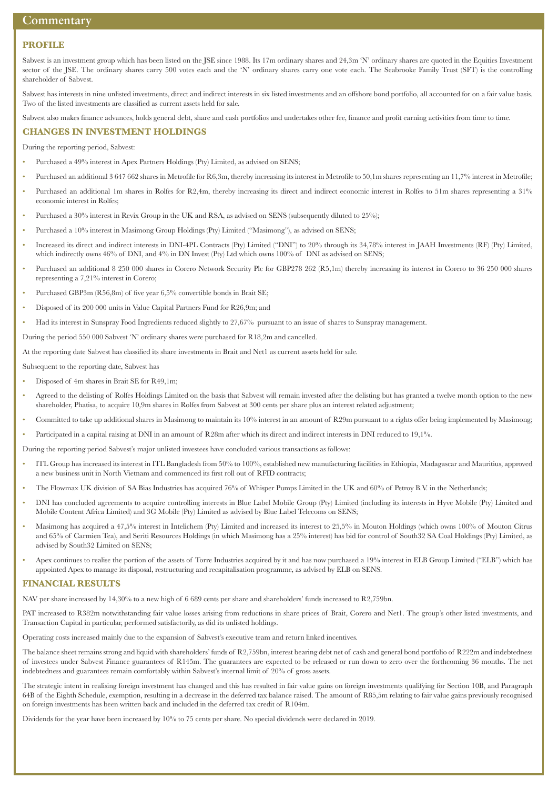#### **Commentary**

#### **PROFILE**

Sabvest is an investment group which has been listed on the JSE since 1988. Its 17m ordinary shares and 24,3m 'N' ordinary shares are quoted in the Equities Investment sector of the JSE. The ordinary shares carry 500 votes each and the 'N' ordinary shares carry one vote each. The Seabrooke Family Trust (SFT) is the controlling shareholder of Sabvest.

Sabvest has interests in nine unlisted investments, direct and indirect interests in six listed investments and an offshore bond portfolio, all accounted for on a fair value basis. Two of the listed investments are classified as current assets held for sale.

Sabvest also makes finance advances, holds general debt, share and cash portfolios and undertakes other fee, finance and profit earning activities from time to time.

#### **CHANGES IN INVESTMENT HOLDINGS**

During the reporting period, Sabvest:

- Purchased a 49% interest in Apex Partners Holdings (Pty) Limited, as advised on SENS;
- Purchased an additional 3 647 662 shares in Metrofile for R6,3m, thereby increasing its interest in Metrofile to 50,1m shares representing an 11,7% interest in Metrofile;
- Purchased an additional 1m shares in Rolfes for R2,4m, thereby increasing its direct and indirect economic interest in Rolfes to 51m shares representing a 31% economic interest in Rolfes;
- Purchased a 30% interest in Revix Group in the UK and RSA, as advised on SENS (subsequently diluted to 25%);
- Purchased a 10% interest in Masimong Group Holdings (Pty) Limited ("Masimong"), as advised on SENS;
- Increased its direct and indirect interests in DNI-4PL Contracts (Pty) Limited ("DNI") to 20% through its 34,78% interest in JAAH Investments (RF) (Pty) Limited, which indirectly owns 46% of DNI, and 4% in DN Invest (Pty) Ltd which owns 100% of DNI as advised on SENS;
- Purchased an additional 8 250 000 shares in Corero Network Security Plc for GBP278 262 (R5,1m) thereby increasing its interest in Corero to 36 250 000 shares representing a 7,21% interest in Corero;
- Purchased GBP3m (R56,8m) of five year 6,5% convertible bonds in Brait SE;
- Disposed of its 200 000 units in Value Capital Partners Fund for R26,9m; and
- Had its interest in Sunspray Food Ingredients reduced slightly to 27,67% pursuant to an issue of shares to Sunspray management.

During the period 550 000 Sabvest 'N' ordinary shares were purchased for R18,2m and cancelled.

At the reporting date Sabvest has classified its share investments in Brait and Net1 as current assets held for sale.

Subsequent to the reporting date, Sabvest has

- Disposed of 4m shares in Brait SE for R49,1m;
- Agreed to the delisting of Rolfes Holdings Limited on the basis that Sabvest will remain invested after the delisting but has granted a twelve month option to the new shareholder, Phatisa, to acquire 10,9m shares in Rolfes from Sabvest at 300 cents per share plus an interest related adjustment;
- Committed to take up additional shares in Masimong to maintain its 10% interest in an amount of R29m pursuant to a rights offer being implemented by Masimong;
- Participated in a capital raising at DNI in an amount of R28m after which its direct and indirect interests in DNI reduced to 19,1%.

During the reporting period Sabvest's major unlisted investees have concluded various transactions as follows:

- ITL Group has increased its interest in ITL Bangladesh from 50% to 100%, established new manufacturing facilities in Ethiopia, Madagascar and Mauritius, approved a new business unit in North Vietnam and commenced its first roll out of RFID contracts;
- The Flowmax UK division of SA Bias Industries has acquired 76% of Whisper Pumps Limited in the UK and 60% of Petroy B.V. in the Netherlands;
- DNI has concluded agreements to acquire controlling interests in Blue Label Mobile Group (Pty) Limited (including its interests in Hyve Mobile (Pty) Limited and Mobile Content Africa Limited) and 3G Mobile (Pty) Limited as advised by Blue Label Telecoms on SENS;
- Masimong has acquired a 47,5% interest in Intelichem (Pty) Limited and increased its interest to 25,5% in Mouton Holdings (which owns 100% of Mouton Citrus and 65% of Carmien Tea), and Seriti Resources Holdings (in which Masimong has a 25% interest) has bid for control of South32 SA Coal Holdings (Pty) Limited, as advised by South32 Limited on SENS;
- Apex continues to realise the portion of the assets of Torre Industries acquired by it and has now purchased a 19% interest in ELB Group Limited ("ELB") which has appointed Apex to manage its disposal, restructuring and recapitalisation programme, as advised by ELB on SENS.

#### **FINANCIAL RESULTS**

NAV per share increased by 14,30% to a new high of 6 689 cents per share and shareholders' funds increased to R2,759bn.

PAT increased to R382m notwithstanding fair value losses arising from reductions in share prices of Brait, Corero and Net1. The group's other listed investments, and Transaction Capital in particular, performed satisfactorily, as did its unlisted holdings.

Operating costs increased mainly due to the expansion of Sabvest's executive team and return linked incentives.

The balance sheet remains strong and liquid with shareholders' funds of R2,759bn, interest bearing debt net of cash and general bond portfolio of R222m and indebtedness of investees under Sabvest Finance guarantees of R145m. The guarantees are expected to be released or run down to zero over the forthcoming 36 months. The net indebtedness and guarantees remain comfortably within Sabvest's internal limit of 20% of gross assets.

The strategic intent in realising foreign investment has changed and this has resulted in fair value gains on foreign investments qualifying for Section 10B, and Paragraph 64B of the Eighth Schedule, exemption, resulting in a decrease in the deferred tax balance raised. The amount of R85,5m relating to fair value gains previously recognised on foreign investments has been written back and included in the deferred tax credit of R104m.

Dividends for the year have been increased by 10% to 75 cents per share. No special dividends were declared in 2019.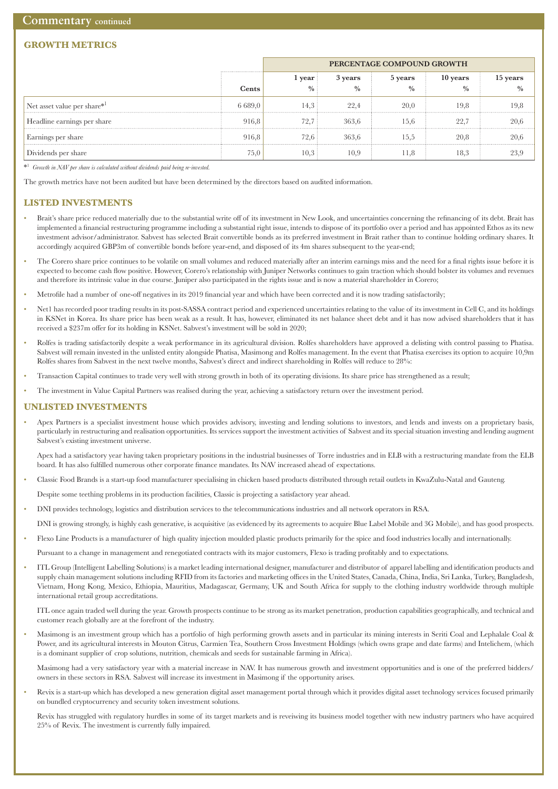### **GROWTH METRICS**

|                             |         | PERCENTAGE COMPOUND GROWTH                 |             |             |               |      |
|-----------------------------|---------|--------------------------------------------|-------------|-------------|---------------|------|
|                             |         | 10 years<br>3 years<br>5 years<br>l year : |             |             | 15 years      |      |
|                             | Cents   |                                            | $^{0}/_{0}$ | $^{0}/_{0}$ | $\frac{0}{0}$ |      |
| Net asset value per share*  | 6.689.0 | 14.3                                       | 22.4        | 20.0        | 19.8          | 19,8 |
| Headline earnings per share | 916.8   | 72.7:                                      | 363,6       | 15.6        | 22.           | 20,6 |
| Earnings per share          | 916.8   | 72.6 i                                     | 363,6       | t.c1        | 20,8          | 20.b |
| Dividends per share         | 75,0    |                                            | 10.9        | 1.8         | 18,3          |      |

\*1 *Growth in NAV per share is calculated without dividends paid being re-invested.*

The growth metrics have not been audited but have been determined by the directors based on audited information.

#### **LISTED INVESTMENTS**

- Brait's share price reduced materially due to the substantial write off of its investment in New Look, and uncertainties concerning the refinancing of its debt. Brait has implemented a financial restructuring programme including a substantial right issue, intends to dispose of its portfolio over a period and has appointed Ethos as its new investment advisor/administrator. Sabvest has selected Brait convertible bonds as its preferred investment in Brait rather than to continue holding ordinary shares. It accordingly acquired GBP3m of convertible bonds before year-end, and disposed of its 4m shares subsequent to the year-end;
- The Corero share price continues to be volatile on small volumes and reduced materially after an interim earnings miss and the need for a final rights issue before it is expected to become cash flow positive. However, Corero's relationship with Juniper Networks continues to gain traction which should bolster its volumes and revenues and therefore its intrinsic value in due course. Juniper also participated in the rights issue and is now a material shareholder in Corero;
- Metrofile had a number of one-off negatives in its 2019 financial year and which have been corrected and it is now trading satisfactorily;
- Net1 has recorded poor trading results in its post-SASSA contract period and experienced uncertainties relating to the value of its investment in Cell C, and its holdings in KSNet in Korea. Its share price has been weak as a result. It has, however, eliminated its net balance sheet debt and it has now advised shareholders that it has received a \$237m offer for its holding in KSNet. Sabvest's investment will be sold in 2020;
- Rolfes is trading satisfactorily despite a weak performance in its agricultural division. Rolfes shareholders have approved a delisting with control passing to Phatisa. Sabvest will remain invested in the unlisted entity alongside Phatisa, Masimong and Rolfes management. In the event that Phatisa exercises its option to acquire 10,9m Rolfes shares from Sabvest in the next twelve months, Sabvest's direct and indirect shareholding in Rolfes will reduce to 28%:
- Transaction Capital continues to trade very well with strong growth in both of its operating divisions. Its share price has strengthened as a result;
- The investment in Value Capital Partners was realised during the year, achieving a satisfactory return over the investment period.

#### **UNLISTED INVESTMENTS**

• Apex Partners is a specialist investment house which provides advisory, investing and lending solutions to investors, and lends and invests on a proprietary basis, particularly in restructuring and realisation opportunities. Its services support the investment activities of Sabvest and its special situation investing and lending augment Sabvest's existing investment universe.

 Apex had a satisfactory year having taken proprietary positions in the industrial businesses of Torre industries and in ELB with a restructuring mandate from the ELB board. It has also fulfilled numerous other corporate finance mandates. Its NAV increased ahead of expectations.

• Classic Food Brands is a start-up food manufacturer specialising in chicken based products distributed through retail outlets in KwaZulu-Natal and Gauteng.

Despite some teething problems in its production facilities, Classic is projecting a satisfactory year ahead.

- DNI provides technology, logistics and distribution services to the telecommunications industries and all network operators in RSA.
- DNI is growing strongly, is highly cash generative, is acquisitive (as evidenced by its agreements to acquire Blue Label Mobile and 3G Mobile), and has good prospects.
- Flexo Line Products is a manufacturer of high quality injection moulded plastic products primarily for the spice and food industries locally and internationally.

Pursuant to a change in management and renegotiated contracts with its major customers, Flexo is trading profitably and to expectations.

• ITL Group (Intelligent Labelling Solutions) is a market leading international designer, manufacturer and distributor of apparel labelling and identification products and supply chain management solutions including RFID from its factories and marketing offices in the United States, Canada, China, India, Sri Lanka, Turkey, Bangladesh, Vietnam, Hong Kong, Mexico, Ethiopia, Mauritius, Madagascar, Germany, UK and South Africa for supply to the clothing industry worldwide through multiple international retail group accreditations.

 ITL once again traded well during the year. Growth prospects continue to be strong as its market penetration, production capabilities geographically, and technical and customer reach globally are at the forefront of the industry.

• Masimong is an investment group which has a portfolio of high performing growth assets and in particular its mining interests in Seriti Coal and Lephalale Coal & Power, and its agricultural interests in Mouton Citrus, Carmien Tea, Southern Cross Investment Holdings (which owns grape and date farms) and Intelichem, (which is a dominant supplier of crop solutions, nutrition, chemicals and seeds for sustainable farming in Africa).

 Masimong had a very satisfactory year with a material increase in NAV. It has numerous growth and investment opportunities and is one of the preferred bidders/ owners in these sectors in RSA. Sabvest will increase its investment in Masimong if the opportunity arises.

• Revix is a start-up which has developed a new generation digital asset management portal through which it provides digital asset technology services focused primarily on bundled cryptocurrency and security token investment solutions.

 Revix has struggled with regulatory hurdles in some of its target markets and is reveiwing its business model together with new industry partners who have acquired 25% of Revix. The investment is currently fully impaired.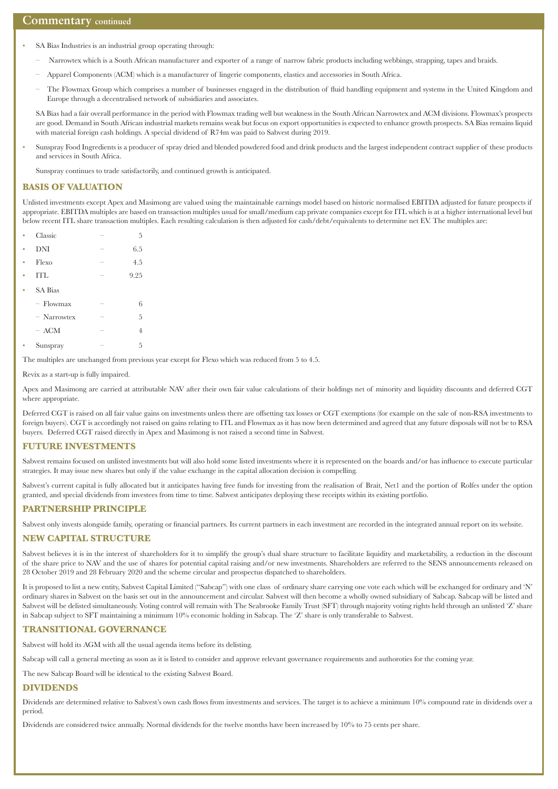- SA Bias Industries is an industrial group operating through:
	- Narrowtex which is a South African manufacturer and exporter of a range of narrow fabric products including webbings, strapping, tapes and braids.
	- Apparel Components (ACM) which is a manufacturer of lingerie components, elastics and accessories in South Africa.
	- The Flowmax Group which comprises a number of businesses engaged in the distribution of fluid handling equipment and systems in the United Kingdom and Europe through a decentralised network of subsidiaries and associates.

 SA Bias had a fair overall performance in the period with Flowmax trading well but weakness in the South African Narrowtex and ACM divisions. Flowmax's prospects are good. Demand in South African industrial markets remains weak but focus on export opportunities is expected to enhance growth prospects. SA Bias remains liquid with material foreign cash holdings. A special dividend of R74m was paid to Sabvest during 2019.

• Sunspray Food Ingredients is a producer of spray dried and blended powdered food and drink products and the largest independent contract supplier of these products and services in South Africa.

Sunspray continues to trade satisfactorily, and continued growth is anticipated.

#### **BASIS OF VALUATION**

Unlisted investments except Apex and Masimong are valued using the maintainable earnings model based on historic normalised EBITDA adjusted for future prospects if appropriate. EBITDA multiples are based on transaction multiples usual for small/medium cap private companies except for ITL which is at a higher international level but below recent ITL share transaction multiples. Each resulting calculation is then adjusted for cash/debt/equivalents to determine net EV. The multiples are:

|   | Classic        | 5              |  |
|---|----------------|----------------|--|
| ۰ | <b>DNI</b>     | 6.5            |  |
| ۰ | Flexo          | 4.5            |  |
| ۰ | <b>ITL</b>     | 9.25           |  |
|   | <b>SA Bias</b> |                |  |
|   | - Flowmax      | 6              |  |
|   | $-$ Narrowtex  | 5              |  |
|   | $-$ ACM        | $\overline{4}$ |  |
|   | Sunspray       | 5              |  |
|   |                |                |  |

The multiples are unchanged from previous year except for Flexo which was reduced from 5 to 4.5.

Revix as a start-up is fully impaired.

Apex and Masimong are carried at attributable NAV after their own fair value calculations of their holdings net of minority and liquidity discounts and deferred CGT where appropriate.

Deferred CGT is raised on all fair value gains on investments unless there are offsetting tax losses or CGT exemptions (for example on the sale of non-RSA investments to foreign buyers). CGT is accordingly not raised on gains relating to ITL and Flowmax as it has now been determined and agreed that any future disposals will not be to RSA buyers. Deferred CGT raised directly in Apex and Masimong is not raised a second time in Sabvest.

#### **FUTURE INVESTMENTS**

Sabvest remains focused on unlisted investments but will also hold some listed investments where it is represented on the boards and/or has influence to execute particular strategies. It may issue new shares but only if the value exchange in the capital allocation decision is compelling.

Sabvest's current capital is fully allocated but it anticipates having free funds for investing from the realisation of Brait, Net1 and the portion of Rolfes under the option granted, and special dividends from investees from time to time. Sabvest anticipates deploying these receipts within its existing portfolio.

#### **PARTNERSHIP PRINCIPLE**

Sabvest only invests alongside family, operating or financial partners. Its current partners in each investment are recorded in the integrated annual report on its website.

#### **NEW CAPITAL STRUCTURE**

Sabvest believes it is in the interest of shareholders for it to simplify the group's dual share structure to facilitate liquidity and marketability, a reduction in the discount of the share price to NAV and the use of shares for potential capital raising and/or new investments. Shareholders are referred to the SENS announcements released on 28 October 2019 and 28 February 2020 and the scheme circular and prospectus dispatched to shareholders.

It is proposed to list a new entity, Sabvest Capital Limited ("Sabcap") with one class of ordinary share carrying one vote each which will be exchanged for ordinary and 'N' ordinary shares in Sabvest on the basis set out in the announcement and circular. Sabvest will then become a wholly owned subsidiary of Sabcap. Sabcap will be listed and Sabvest will be delisted simultaneously. Voting control will remain with The Seabrooke Family Trust (SFT) through majority voting rights held through an unlisted 'Z' share in Sabcap subject to SFT maintaining a minimum 10% economic holding in Sabcap. The 'Z' share is only transferable to Sabvest.

#### **TRANSITIONAL GOVERNANCE**

Sabvest will hold its AGM with all the usual agenda items before its delisting.

Sabcap will call a general meeting as soon as it is listed to consider and approve relevant governance requirements and authoroties for the coming year.

The new Sabcap Board will be identical to the existing Sabvest Board.

#### **DIVIDENDS**

Dividends are determined relative to Sabvest's own cash flows from investments and services. The target is to achieve a minimum 10% compound rate in dividends over a period.

Dividends are considered twice annually. Normal dividends for the twelve months have been increased by 10% to 75 cents per share.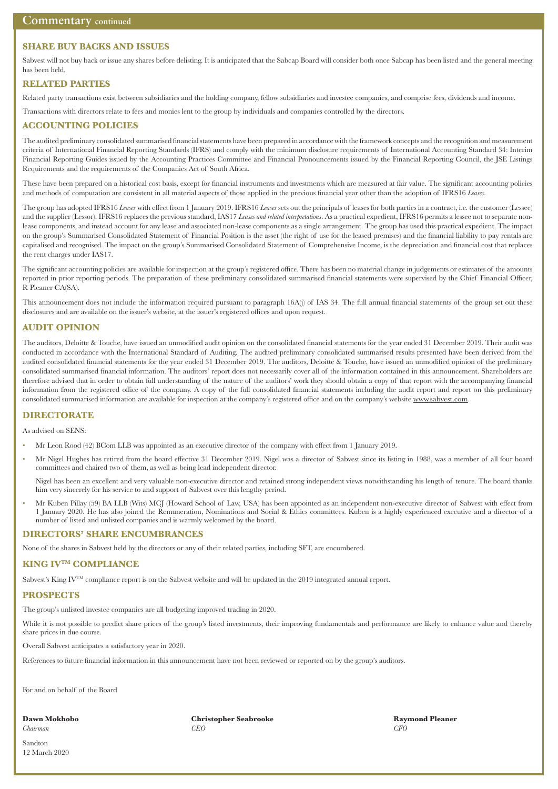#### **SHARE BUY BACKS AND ISSUES**

Sabvest will not buy back or issue any shares before delisting. It is anticipated that the Sabcap Board will consider both once Sabcap has been listed and the general meeting has been held.

#### **RELATED PARTIES**

Related party transactions exist between subsidiaries and the holding company, fellow subsidiaries and investee companies, and comprise fees, dividends and income.

Transactions with directors relate to fees and monies lent to the group by individuals and companies controlled by the directors.

#### **ACCOUNTING POLICIES**

The audited preliminary consolidated summarised financial statements have been prepared in accordance with the framework concepts and the recognition and measurement criteria of International Financial Reporting Standards (IFRS) and comply with the minimum disclosure requirements of International Accounting Standard 34: Interim Financial Reporting Guides issued by the Accounting Practices Committee and Financial Pronouncements issued by the Financial Reporting Council, the JSE Listings Requirements and the requirements of the Companies Act of South Africa.

These have been prepared on a historical cost basis, except for financial instruments and investments which are measured at fair value. The significant accounting policies and methods of computation are consistent in all material aspects of those applied in the previous financial year other than the adoption of IFRS16 *Leases*.

The group has adopted IFRS16 *Leases* with effect from 1 January 2019. IFRS16 *Leases* sets out the principals of leases for both parties in a contract, i.e. the customer (Lessee) and the supplier (Lessor). IFRS16 replaces the previous standard, IAS17 *Leases and related interpretations*. As a practical expedient, IFRS16 permits a lessee not to separate nonlease components, and instead account for any lease and associated non-lease components as a single arrangement. The group has used this practical expedient. The impact on the group's Summarised Consolidated Statement of Financial Position is the asset (the right of use for the leased premises) and the financial liability to pay rentals are capitalised and recognised. The impact on the group's Summarised Consolidated Statement of Comprehensive Income, is the depreciation and financial cost that replaces the rent charges under IAS17.

The significant accounting policies are available for inspection at the group's registered office. There has been no material change in judgements or estimates of the amounts reported in prior reporting periods. The preparation of these preliminary consolidated summarised financial statements were supervised by the Chief Financial Officer, R Pleaner CA(SA).

This announcement does not include the information required pursuant to paragraph 16A(j) of IAS 34. The full annual financial statements of the group set out these disclosures and are available on the issuer's website, at the issuer's registered offices and upon request.

#### **AUDIT OPINION**

The auditors, Deloitte & Touche, have issued an unmodified audit opinion on the consolidated financial statements for the year ended 31 December 2019. Their audit was conducted in accordance with the International Standard of Auditing. The audited preliminary consolidated summarised results presented have been derived from the audited consolidated financial statements for the year ended 31 December 2019. The auditors, Deloitte & Touche, have issued an unmodified opinion of the preliminary consolidated summarised financial information. The auditors' report does not necessarily cover all of the information contained in this announcement. Shareholders are therefore advised that in order to obtain full understanding of the nature of the auditors' work they should obtain a copy of that report with the accompanying financial information from the registered office of the company. A copy of the full consolidated financial statements including the audit report and report on this preliminary consolidated summarised information are available for inspection at the company's registered office and on the company's website www.sabvest.com.

#### **DIRECTORATE**

As advised on SENS:

- Mr Leon Rood (42) BCom LLB was appointed as an executive director of the company with effect from 1 January 2019.
- Mr Nigel Hughes has retired from the board effective 31 December 2019. Nigel was a director of Sabvest since its listing in 1988, was a member of all four board committees and chaired two of them, as well as being lead independent director.

 Nigel has been an excellent and very valuable non-executive director and retained strong independent views notwithstanding his length of tenure. The board thanks him very sincerely for his service to and support of Sabvest over this lengthy period.

• Mr Kuben Pillay (59) BA LLB (Wits) MCJ (Howard School of Law, USA) has been appointed as an independent non-executive director of Sabvest with effect from 1 January 2020. He has also joined the Remuneration, Nominations and Social & Ethics committees. Kuben is a highly experienced executive and a director of a number of listed and unlisted companies and is warmly welcomed by the board.

#### **DIRECTORS' SHARE ENCUMBRANCES**

None of the shares in Sabvest held by the directors or any of their related parties, including SFT, are encumbered.

#### **KING IVTM COMPLIANCE**

Sabvest's King IV<sup>TM</sup> compliance report is on the Sabvest website and will be updated in the 2019 integrated annual report.

#### **PROSPECTS**

The group's unlisted investee companies are all budgeting improved trading in 2020.

While it is not possible to predict share prices of the group's listed investments, their improving fundamentals and performance are likely to enhance value and thereby share prices in due course.

Overall Sabvest anticipates a satisfactory year in 2020.

References to future financial information in this announcement have not been reviewed or reported on by the group's auditors.

For and on behalf of the Board

**Dawn Mokhobo Christopher Seabrooke Raymond Pleaner** *Chairman CEO CFO*

Sandton 12 March 2020